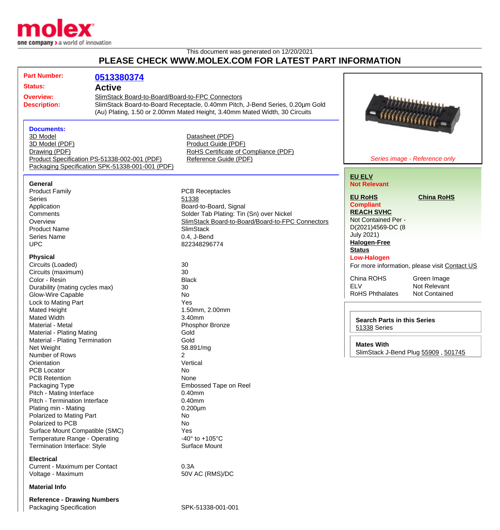

## This document was generated on 12/20/2021 **PLEASE CHECK WWW.MOLEX.COM FOR LATEST PART INFORMATION**

| <b>Part Number:</b>              | 0513380374                                       |                                                                               |                                    |                                               |
|----------------------------------|--------------------------------------------------|-------------------------------------------------------------------------------|------------------------------------|-----------------------------------------------|
| <b>Status:</b>                   | <b>Active</b>                                    |                                                                               |                                    |                                               |
|                                  |                                                  |                                                                               |                                    |                                               |
| <b>Overview:</b>                 | SlimStack Board-to-Board/Board-to-FPC Connectors |                                                                               |                                    |                                               |
| <b>Description:</b>              |                                                  | SlimStack Board-to-Board Receptacle, 0.40mm Pitch, J-Bend Series, 0.20µm Gold |                                    |                                               |
|                                  |                                                  | (Au) Plating, 1.50 or 2.00mm Mated Height, 3.40mm Mated Width, 30 Circuits    |                                    |                                               |
|                                  |                                                  |                                                                               |                                    | $-i$                                          |
| <b>Documents:</b>                |                                                  |                                                                               |                                    |                                               |
| 3D Model                         |                                                  | Datasheet (PDF)                                                               |                                    |                                               |
| 3D Model (PDF)                   |                                                  | Product Guide (PDF)                                                           |                                    |                                               |
| Drawing (PDF)                    |                                                  | RoHS Certificate of Compliance (PDF)                                          |                                    |                                               |
|                                  | Product Specification PS-51338-002-001 (PDF)     | Reference Guide (PDF)                                                         |                                    | Series image - Reference only                 |
|                                  | Packaging Specification SPK-51338-001-001 (PDF)  |                                                                               |                                    |                                               |
|                                  |                                                  |                                                                               | <b>EU ELV</b>                      |                                               |
| <b>General</b>                   |                                                  |                                                                               | <b>Not Relevant</b>                |                                               |
| <b>Product Family</b>            |                                                  | <b>PCB Receptacles</b>                                                        |                                    |                                               |
| <b>Series</b>                    |                                                  | 51338                                                                         | <b>EU RoHS</b>                     | <b>China RoHS</b>                             |
| Application                      |                                                  | Board-to-Board, Signal                                                        | <b>Compliant</b>                   |                                               |
| Comments                         |                                                  | Solder Tab Plating: Tin (Sn) over Nickel                                      | <b>REACH SVHC</b>                  |                                               |
| Overview                         |                                                  | SlimStack Board-to-Board/Board-to-FPC Connectors                              | Not Contained Per -                |                                               |
| <b>Product Name</b>              |                                                  | <b>SlimStack</b>                                                              | D(2021)4569-DC (8                  |                                               |
| <b>Series Name</b>               |                                                  | 0.4, J-Bend                                                                   | <b>July 2021)</b>                  |                                               |
| <b>UPC</b>                       |                                                  | 822348296774                                                                  | <b>Halogen-Free</b>                |                                               |
|                                  |                                                  |                                                                               | <b>Status</b>                      |                                               |
| <b>Physical</b>                  |                                                  |                                                                               | <b>Low-Halogen</b>                 |                                               |
| Circuits (Loaded)                |                                                  | 30                                                                            |                                    | For more information, please visit Contact US |
| Circuits (maximum)               |                                                  | 30                                                                            |                                    |                                               |
| Color - Resin                    |                                                  | <b>Black</b>                                                                  | China ROHS                         | Green Image                                   |
| Durability (mating cycles max)   |                                                  | 30                                                                            | <b>ELV</b>                         | Not Relevant                                  |
| <b>Glow-Wire Capable</b>         |                                                  | No                                                                            | <b>RoHS Phthalates</b>             | <b>Not Contained</b>                          |
| Lock to Mating Part              |                                                  | Yes                                                                           |                                    |                                               |
| Mated Height                     |                                                  | 1.50mm, 2.00mm                                                                |                                    |                                               |
| <b>Mated Width</b>               |                                                  | 3.40mm                                                                        | <b>Search Parts in this Series</b> |                                               |
| Material - Metal                 |                                                  | Phosphor Bronze                                                               | 51338 Series                       |                                               |
| <b>Material - Plating Mating</b> |                                                  | Gold                                                                          |                                    |                                               |
| Material - Plating Termination   |                                                  | Gold                                                                          |                                    |                                               |
| Net Weight                       |                                                  | 58.891/mg                                                                     | <b>Mates With</b>                  |                                               |
| Number of Rows                   |                                                  | 2                                                                             |                                    | SlimStack J-Bend Plug 55909, 501745           |
| Orientation                      |                                                  | Vertical                                                                      |                                    |                                               |
| <b>PCB Locator</b>               |                                                  | No                                                                            |                                    |                                               |
| <b>PCB Retention</b>             |                                                  | None                                                                          |                                    |                                               |
| Packaging Type                   |                                                  | Embossed Tape on Reel                                                         |                                    |                                               |
| Pitch - Mating Interface         |                                                  | $0.40$ mm                                                                     |                                    |                                               |
| Pitch - Termination Interface    |                                                  | $0.40$ mm                                                                     |                                    |                                               |
| Plating min - Mating             |                                                  | $0.200 \mu m$                                                                 |                                    |                                               |
| Polarized to Mating Part         |                                                  | No                                                                            |                                    |                                               |
| Polarized to PCB                 |                                                  | No                                                                            |                                    |                                               |
| Surface Mount Compatible (SMC)   |                                                  | Yes                                                                           |                                    |                                               |
| Temperature Range - Operating    |                                                  | -40 $\degree$ to +105 $\degree$ C                                             |                                    |                                               |
| Termination Interface: Style     |                                                  | <b>Surface Mount</b>                                                          |                                    |                                               |
|                                  |                                                  |                                                                               |                                    |                                               |
| <b>Electrical</b>                |                                                  |                                                                               |                                    |                                               |
| Current - Maximum per Contact    |                                                  | 0.3A                                                                          |                                    |                                               |
| Voltage - Maximum                |                                                  | 50V AC (RMS)/DC                                                               |                                    |                                               |

**Material Info**

**Reference - Drawing Numbers** Packaging Specification SPK-51338-001-001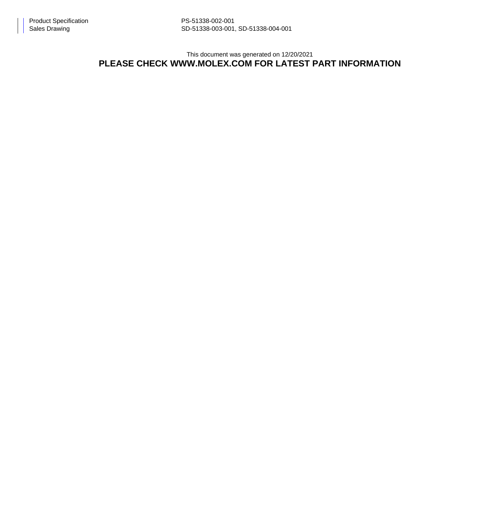## This document was generated on 12/20/2021 **PLEASE CHECK WWW.MOLEX.COM FOR LATEST PART INFORMATION**